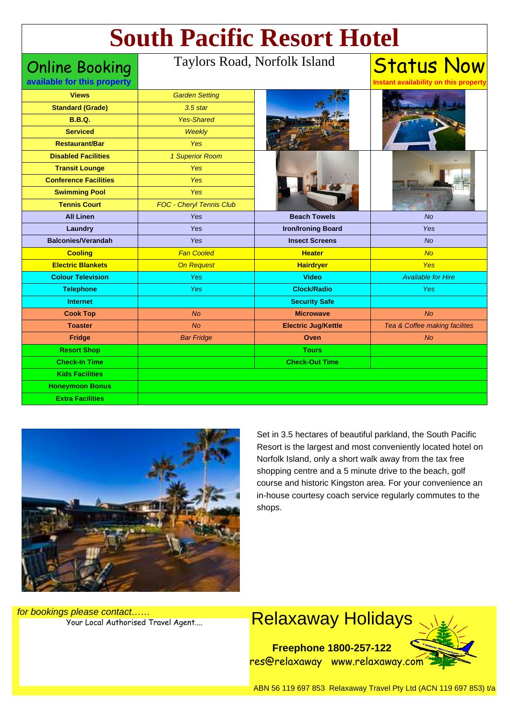# **South Pacific Resort Hotel**

Online Booking

#### Taylors Road, Norfolk Island

| available for this property  |                          |                            | Instant availability on this property |
|------------------------------|--------------------------|----------------------------|---------------------------------------|
| <b>Views</b>                 | <b>Garden Setting</b>    |                            |                                       |
| <b>Standard (Grade)</b>      | $3.5$ star               |                            |                                       |
| <b>B.B.Q.</b>                | <b>Yes-Shared</b>        |                            |                                       |
| <b>Serviced</b>              | Weekly                   |                            |                                       |
| <b>Restaurant/Bar</b>        | Yes                      |                            |                                       |
| <b>Disabled Facilities</b>   | 1 Superior Room          |                            |                                       |
| <b>Transit Lounge</b>        | Yes                      |                            |                                       |
| <b>Conference Facilities</b> | Yes                      |                            |                                       |
| <b>Swimming Pool</b>         | Yes                      |                            |                                       |
| <b>Tennis Court</b>          | FOC - Cheryl Tennis Club |                            |                                       |
| <b>All Linen</b>             | Yes                      | <b>Beach Towels</b>        | <b>No</b>                             |
| <b>Laundry</b>               | Yes                      | <b>Iron/Ironing Board</b>  | Yes                                   |
| <b>Balconies/Verandah</b>    | Yes                      | <b>Insect Screens</b>      | <b>No</b>                             |
| <b>Cooling</b>               | <b>Fan Cooled</b>        | <b>Heater</b>              | No                                    |
| <b>Electric Blankets</b>     | <b>On Request</b>        | <b>Hairdryer</b>           | Yes                                   |
| <b>Colour Television</b>     | Yes                      | <b>Video</b>               | <b>Available for Hire</b>             |
| <b>Telephone</b>             | Yes                      | <b>Clock/Radio</b>         | Yes                                   |
| <b>Internet</b>              |                          | <b>Security Safe</b>       |                                       |
| <b>Cook Top</b>              | <b>No</b>                | <b>Microwave</b>           | N <sub>O</sub>                        |
| <b>Toaster</b>               | <b>No</b>                | <b>Electric Jug/Kettle</b> | Tea & Coffee making facilites         |
| Fridge                       | <b>Bar Fridge</b>        | Oven                       | <b>No</b>                             |
| <b>Resort Shop</b>           |                          | <b>Tours</b>               |                                       |
| <b>Check-In Time</b>         |                          | <b>Check-Out Time</b>      |                                       |
| <b>Kids Facilities</b>       |                          |                            |                                       |
| <b>Honeymoon Bonus</b>       |                          |                            |                                       |
| <b>Extra Facilities</b>      |                          |                            |                                       |



Set in 3.5 hectares of beautiful parkland, the South Pacific Resort is the largest and most conveniently located hotel on Norfolk Island, only a short walk away from the tax free shopping centre and a 5 minute drive to the beach, golf course and historic Kingston area. For your convenience an in-house courtesy coach service regularly commutes to the shops.

**Status Now** 

for bookings please contact……